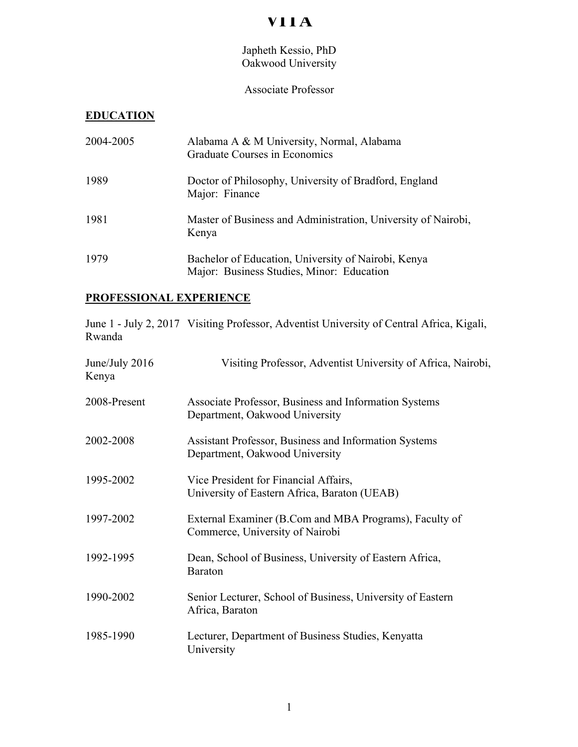# **VITA**

## Japheth Kessio, PhD Oakwood University

## Associate Professor

#### **EDUCATION**

| 2004-2005 | Alabama A & M University, Normal, Alabama<br>Graduate Courses in Economics                       |
|-----------|--------------------------------------------------------------------------------------------------|
| 1989      | Doctor of Philosophy, University of Bradford, England<br>Major: Finance                          |
| 1981      | Master of Business and Administration, University of Nairobi,<br>Kenya                           |
| 1979      | Bachelor of Education, University of Nairobi, Kenya<br>Major: Business Studies, Minor: Education |

#### **PROFESSIONAL EXPERIENCE**

June 1 - July 2, 2017 Visiting Professor, Adventist University of Central Africa, Kigali, Rwanda

| June/July 2016<br>Kenya | Visiting Professor, Adventist University of Africa, Nairobi,                              |
|-------------------------|-------------------------------------------------------------------------------------------|
| 2008-Present            | Associate Professor, Business and Information Systems<br>Department, Oakwood University   |
| 2002-2008               | Assistant Professor, Business and Information Systems<br>Department, Oakwood University   |
| 1995-2002               | Vice President for Financial Affairs,<br>University of Eastern Africa, Baraton (UEAB)     |
| 1997-2002               | External Examiner (B.Com and MBA Programs), Faculty of<br>Commerce, University of Nairobi |
| 1992-1995               | Dean, School of Business, University of Eastern Africa,<br><b>Baraton</b>                 |
| 1990-2002               | Senior Lecturer, School of Business, University of Eastern<br>Africa, Baraton             |
| 1985-1990               | Lecturer, Department of Business Studies, Kenyatta<br>University                          |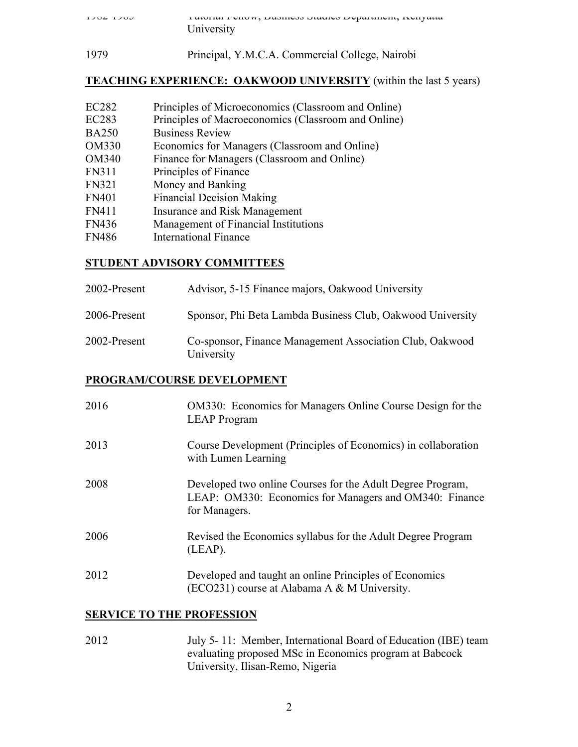| $1704$ $1700$ | T ANTIAL LUIUW, DANIIUNI DRAHU DUPA AINII, IVII JAAR |
|---------------|------------------------------------------------------|
|               | University                                           |
|               |                                                      |

1979 Principal, Y.M.C.A. Commercial College, Nairobi

#### **TEACHING EXPERIENCE: OAKWOOD UNIVERSITY** (within the last 5 years)

- EC282 Principles of Microeconomics (Classroom and Online)
- EC283 Principles of Macroeconomics (Classroom and Online)
- BA250 Business Review
- OM330 Economics for Managers (Classroom and Online)
- OM340 Finance for Managers (Classroom and Online)
- FN311 Principles of Finance
- FN321 Money and Banking
- FN401 Financial Decision Making
- FN411 Insurance and Risk Management
- FN436 Management of Financial Institutions
- FN486 International Finance

## **STUDENT ADVISORY COMMITTEES**

| 2002-Present | Advisor, 5-15 Finance majors, Oakwood University                       |
|--------------|------------------------------------------------------------------------|
| 2006-Present | Sponsor, Phi Beta Lambda Business Club, Oakwood University             |
| 2002-Present | Co-sponsor, Finance Management Association Club, Oakwood<br>University |

#### **PROGRAM/COURSE DEVELOPMENT**

| 2016 | <b>OM330:</b> Economics for Managers Online Course Design for the<br><b>LEAP</b> Program                                              |
|------|---------------------------------------------------------------------------------------------------------------------------------------|
| 2013 | Course Development (Principles of Economics) in collaboration<br>with Lumen Learning                                                  |
| 2008 | Developed two online Courses for the Adult Degree Program,<br>LEAP: OM330: Economics for Managers and OM340: Finance<br>for Managers. |
| 2006 | Revised the Economics syllabus for the Adult Degree Program<br>(LEAP).                                                                |
| 2012 | Developed and taught an online Principles of Economics<br>(ECO231) course at Alabama A & M University.                                |

## **SERVICE TO THE PROFESSION**

2012 July 5- 11: Member, International Board of Education (IBE) team evaluating proposed MSc in Economics program at Babcock University, Ilisan-Remo, Nigeria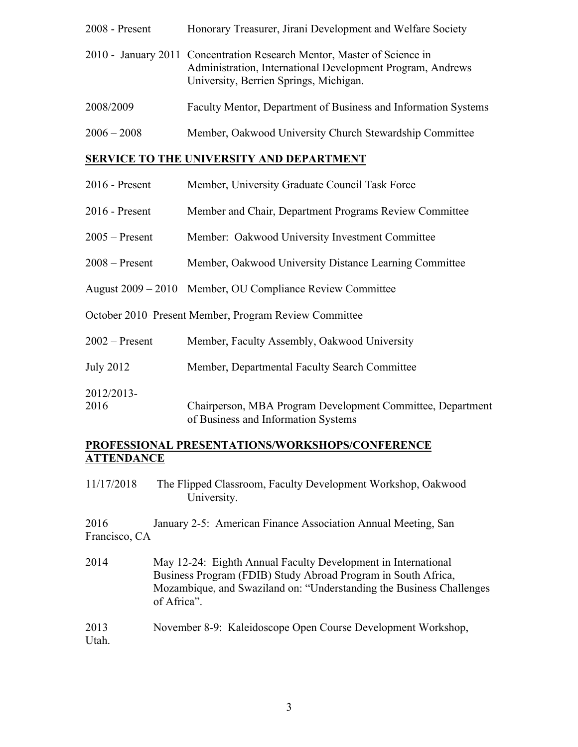| $2008$ - Present | Honorary Treasurer, Jirani Development and Welfare Society                                                                                                                      |
|------------------|---------------------------------------------------------------------------------------------------------------------------------------------------------------------------------|
|                  | 2010 - January 2011 Concentration Research Mentor, Master of Science in<br>Administration, International Development Program, Andrews<br>University, Berrien Springs, Michigan. |
| 2008/2009        | Faculty Mentor, Department of Business and Information Systems                                                                                                                  |
| $2006 - 2008$    | Member, Oakwood University Church Stewardship Committee                                                                                                                         |

#### **SERVICE TO THE UNIVERSITY AND DEPARTMENT**

- 2016 Present Member, University Graduate Council Task Force
- 2016 Present Member and Chair, Department Programs Review Committee
- 2005 Present Member: Oakwood University Investment Committee
- 2008 Present Member, Oakwood University Distance Learning Committee
- August 2009 2010 Member, OU Compliance Review Committee

October 2010–Present Member, Program Review Committee

| $2002$ – Present | Member, Faculty Assembly, Oakwood University |  |
|------------------|----------------------------------------------|--|
|------------------|----------------------------------------------|--|

July 2012 Member, Departmental Faculty Search Committee

2012/2013-

2016 Chairperson, MBA Program Development Committee, Department of Business and Information Systems

#### **PROFESSIONAL PRESENTATIONS/WORKSHOPS/CONFERENCE ATTENDANCE**

11/17/2018 The Flipped Classroom, Faculty Development Workshop, Oakwood University.

2016 January 2-5: American Finance Association Annual Meeting, San Francisco, CA

2014 May 12-24: Eighth Annual Faculty Development in International Business Program (FDIB) Study Abroad Program in South Africa, Mozambique, and Swaziland on: "Understanding the Business Challenges of Africa".

## 2013 November 8-9: Kaleidoscope Open Course Development Workshop, Utah.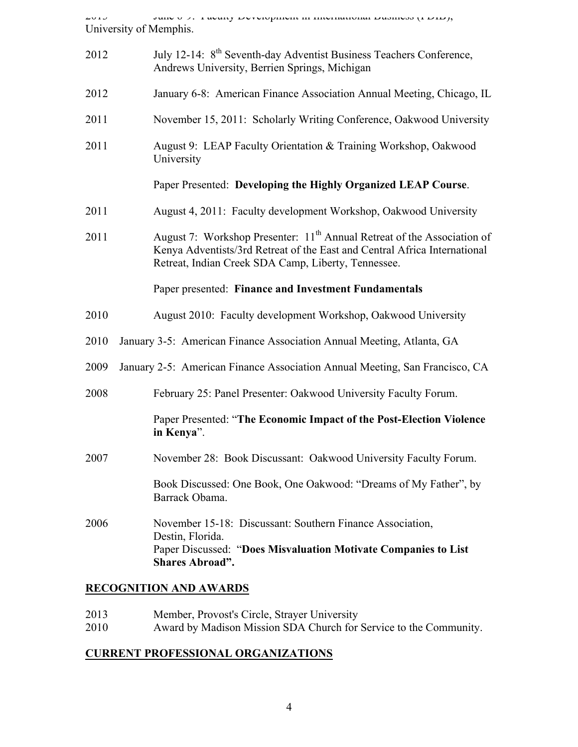2013 June 6-9: Faculty Development in International Business (FDIB), University of Memphis.

| 2012 | July 12-14: 8 <sup>th</sup> Seventh-day Adventist Business Teachers Conference,<br>Andrews University, Berrien Springs, Michigan                                                                                        |
|------|-------------------------------------------------------------------------------------------------------------------------------------------------------------------------------------------------------------------------|
| 2012 | January 6-8: American Finance Association Annual Meeting, Chicago, IL                                                                                                                                                   |
| 2011 | November 15, 2011: Scholarly Writing Conference, Oakwood University                                                                                                                                                     |
| 2011 | August 9: LEAP Faculty Orientation & Training Workshop, Oakwood<br>University                                                                                                                                           |
|      | Paper Presented: Developing the Highly Organized LEAP Course.                                                                                                                                                           |
| 2011 | August 4, 2011: Faculty development Workshop, Oakwood University                                                                                                                                                        |
| 2011 | August 7: Workshop Presenter: 11 <sup>th</sup> Annual Retreat of the Association of<br>Kenya Adventists/3rd Retreat of the East and Central Africa International<br>Retreat, Indian Creek SDA Camp, Liberty, Tennessee. |
|      | Paper presented: Finance and Investment Fundamentals                                                                                                                                                                    |
| 2010 | August 2010: Faculty development Workshop, Oakwood University                                                                                                                                                           |
| 2010 | January 3-5: American Finance Association Annual Meeting, Atlanta, GA                                                                                                                                                   |
| 2009 | January 2-5: American Finance Association Annual Meeting, San Francisco, CA                                                                                                                                             |
| 2008 | February 25: Panel Presenter: Oakwood University Faculty Forum.                                                                                                                                                         |
|      | Paper Presented: "The Economic Impact of the Post-Election Violence<br>in Kenya".                                                                                                                                       |
| 2007 | November 28: Book Discussant: Oakwood University Faculty Forum.                                                                                                                                                         |
|      | Book Discussed: One Book, One Oakwood: "Dreams of My Father", by<br>Barrack Obama.                                                                                                                                      |
| 2006 | November 15-18: Discussant: Southern Finance Association,<br>Destin, Florida.<br>Paper Discussed: "Does Misvaluation Motivate Companies to List<br><b>Shares Abroad".</b>                                               |

#### **RECOGNITION AND AWARDS**

- 2013 Member, Provost's Circle, Strayer University
- 2010 Award by Madison Mission SDA Church for Service to the Community.

#### **CURRENT PROFESSIONAL ORGANIZATIONS**